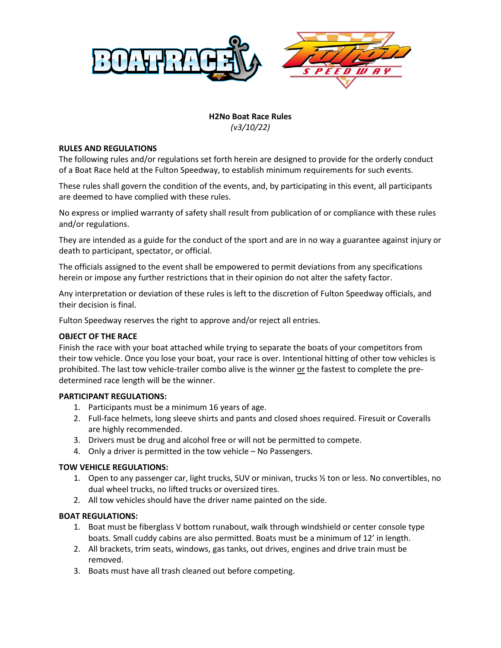

# **H2No Boat Race Rules** *(v3/10/22)*

## **RULES AND REGULATIONS**

The following rules and/or regulations set forth herein are designed to provide for the orderly conduct of a Boat Race held at the Fulton Speedway, to establish minimum requirements for such events.

These rules shall govern the condition of the events, and, by participating in this event, all participants are deemed to have complied with these rules.

No express or implied warranty of safety shall result from publication of or compliance with these rules and/or regulations.

They are intended as a guide for the conduct of the sport and are in no way a guarantee against injury or death to participant, spectator, or official.

The officials assigned to the event shall be empowered to permit deviations from any specifications herein or impose any further restrictions that in their opinion do not alter the safety factor.

Any interpretation or deviation of these rules is left to the discretion of Fulton Speedway officials, and their decision is final.

Fulton Speedway reserves the right to approve and/or reject all entries.

## **OBJECT OF THE RACE**

Finish the race with your boat attached while trying to separate the boats of your competitors from their tow vehicle. Once you lose your boat, your race is over. Intentional hitting of other tow vehicles is prohibited. The last tow vehicle-trailer combo alive is the winner or the fastest to complete the predetermined race length will be the winner.

## **PARTICIPANT REGULATIONS:**

- 1. Participants must be a minimum 16 years of age.
- 2. Full-face helmets, long sleeve shirts and pants and closed shoes required. Firesuit or Coveralls are highly recommended.
- 3. Drivers must be drug and alcohol free or will not be permitted to compete.
- 4. Only a driver is permitted in the tow vehicle No Passengers.

#### **TOW VEHICLE REGULATIONS:**

- 1. Open to any passenger car, light trucks, SUV or minivan, trucks ½ ton or less. No convertibles, no dual wheel trucks, no lifted trucks or oversized tires.
- 2. All tow vehicles should have the driver name painted on the side.

#### **BOAT REGULATIONS:**

- 1. Boat must be fiberglass V bottom runabout, walk through windshield or center console type boats. Small cuddy cabins are also permitted. Boats must be a minimum of 12' in length.
- 2. All brackets, trim seats, windows, gas tanks, out drives, engines and drive train must be removed.
- 3. Boats must have all trash cleaned out before competing.